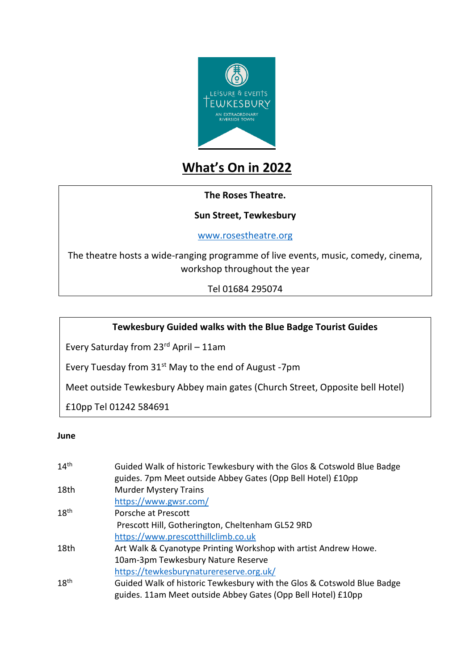

# **What's On in 2022**

#### **The Roses Theatre.**

#### **Sun Street, Tewkesbury**

[www.rosestheatre.org](http://www.rosestheatre.org/)

The theatre hosts a wide-ranging programme of live events, music, comedy, cinema, workshop throughout the year

Tel 01684 295074

## **Tewkesbury Guided walks with the Blue Badge Tourist Guides**

Every Saturday from 23rd April – 11am

Every Tuesday from 31<sup>st</sup> May to the end of August -7pm

Meet outside Tewkesbury Abbey main gates (Church Street, Opposite bell Hotel)

£10pp Tel 01242 584691

#### **June**

| 14 <sup>th</sup> | Guided Walk of historic Tewkesbury with the Glos & Cotswold Blue Badge |
|------------------|------------------------------------------------------------------------|
|                  | guides. 7pm Meet outside Abbey Gates (Opp Bell Hotel) £10pp            |
| 18th             | <b>Murder Mystery Trains</b>                                           |
|                  | https://www.gwsr.com/                                                  |
| 18 <sup>th</sup> | Porsche at Prescott                                                    |
|                  | Prescott Hill, Gotherington, Cheltenham GL52 9RD                       |
|                  | https://www.prescotthillclimb.co.uk                                    |
| 18th             | Art Walk & Cyanotype Printing Workshop with artist Andrew Howe.        |
|                  | 10am-3pm Tewkesbury Nature Reserve                                     |
|                  | https://tewkesburynaturereserve.org.uk/                                |
| 18 <sup>th</sup> | Guided Walk of historic Tewkesbury with the Glos & Cotswold Blue Badge |
|                  | guides. 11am Meet outside Abbey Gates (Opp Bell Hotel) £10pp           |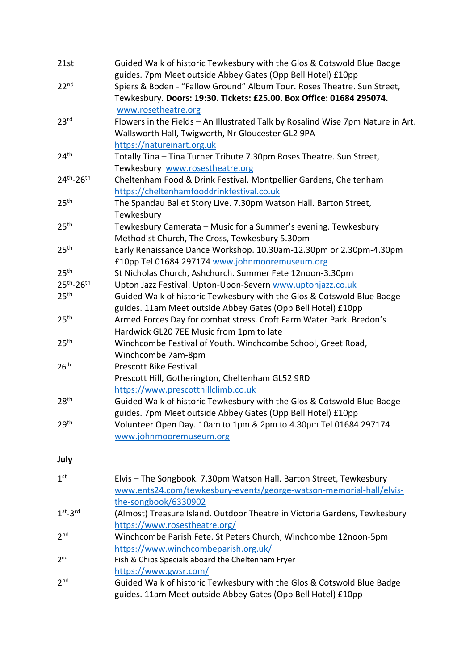| 21st                               | Guided Walk of historic Tewkesbury with the Glos & Cotswold Blue Badge<br>guides. 7pm Meet outside Abbey Gates (Opp Bell Hotel) £10pp                                                     |  |
|------------------------------------|-------------------------------------------------------------------------------------------------------------------------------------------------------------------------------------------|--|
| 22 <sup>nd</sup>                   | Spiers & Boden - "Fallow Ground" Album Tour. Roses Theatre. Sun Street,<br>Tewkesbury. Doors: 19:30. Tickets: £25.00. Box Office: 01684 295074.                                           |  |
| 23 <sup>rd</sup>                   | www.rosetheatre.org<br>Flowers in the Fields - An Illustrated Talk by Rosalind Wise 7pm Nature in Art.<br>Wallsworth Hall, Twigworth, Nr Gloucester GL2 9PA<br>https://natureinart.org.uk |  |
| 24 <sup>th</sup>                   | Totally Tina - Tina Turner Tribute 7.30pm Roses Theatre. Sun Street,                                                                                                                      |  |
| 24th-26th                          | Tewkesbury www.rosestheatre.org<br>Cheltenham Food & Drink Festival. Montpellier Gardens, Cheltenham<br>https://cheltenhamfooddrinkfestival.co.uk                                         |  |
| 25 <sup>th</sup>                   | The Spandau Ballet Story Live. 7.30pm Watson Hall. Barton Street,<br>Tewkesbury                                                                                                           |  |
| 25 <sup>th</sup>                   | Tewkesbury Camerata - Music for a Summer's evening. Tewkesbury<br>Methodist Church, The Cross, Tewkesbury 5.30pm                                                                          |  |
| 25 <sup>th</sup>                   | Early Renaissance Dance Workshop. 10.30am-12.30pm or 2.30pm-4.30pm<br>£10pp Tel 01684 297174 www.johnmooremuseum.org                                                                      |  |
| 25 <sup>th</sup>                   | St Nicholas Church, Ashchurch. Summer Fete 12noon-3.30pm                                                                                                                                  |  |
| 25 <sup>th</sup> -26 <sup>th</sup> | Upton Jazz Festival. Upton-Upon-Severn www.uptonjazz.co.uk                                                                                                                                |  |
| 25 <sup>th</sup>                   | Guided Walk of historic Tewkesbury with the Glos & Cotswold Blue Badge<br>guides. 11am Meet outside Abbey Gates (Opp Bell Hotel) £10pp                                                    |  |
| 25 <sup>th</sup>                   | Armed Forces Day for combat stress. Croft Farm Water Park. Bredon's<br>Hardwick GL20 7EE Music from 1pm to late                                                                           |  |
| 25 <sup>th</sup>                   | Winchcombe Festival of Youth. Winchcombe School, Greet Road,<br>Winchcombe 7am-8pm                                                                                                        |  |
| 26 <sup>th</sup>                   | <b>Prescott Bike Festival</b><br>Prescott Hill, Gotherington, Cheltenham GL52 9RD<br>https://www.prescotthillclimb.co.uk                                                                  |  |
| 28 <sup>th</sup>                   | Guided Walk of historic Tewkesbury with the Glos & Cotswold Blue Badge<br>guides. 7pm Meet outside Abbey Gates (Opp Bell Hotel) £10pp                                                     |  |
| 29 <sup>th</sup>                   | Volunteer Open Day. 10am to 1pm & 2pm to 4.30pm Tel 01684 297174<br>www.johnmooremuseum.org                                                                                               |  |
| July                               |                                                                                                                                                                                           |  |
| 1 <sup>st</sup>                    | Elvis - The Songbook. 7.30pm Watson Hall. Barton Street, Tewkesbury<br>www.ents24.com/tewkesbury-events/george-watson-memorial-hall/elvis-<br>the-songbook/6330902                        |  |
| $1st-3rd$                          | (Almost) Treasure Island. Outdoor Theatre in Victoria Gardens, Tewkesbury<br>https://www.rosestheatre.org/                                                                                |  |
| 2 <sub>nd</sub>                    | Winchcombe Parish Fete. St Peters Church, Winchcombe 12noon-5pm<br>https://www.winchcombeparish.org.uk/                                                                                   |  |
| 2 <sup>nd</sup>                    | Fish & Chips Specials aboard the Cheltenham Fryer<br>https://www.gwsr.com/                                                                                                                |  |
| 2 <sub>nd</sub>                    | Guided Walk of historic Tewkesbury with the Glos & Cotswold Blue Badge<br>guides. 11am Meet outside Abbey Gates (Opp Bell Hotel) £10pp                                                    |  |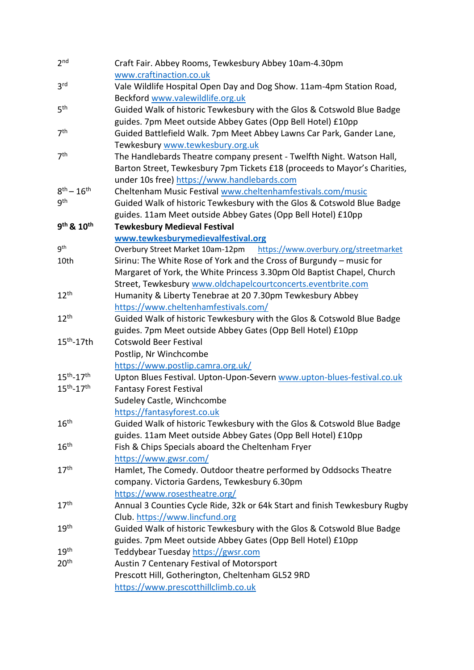| 2 <sub>nd</sub>                    | Craft Fair. Abbey Rooms, Tewkesbury Abbey 10am-4.30pm                      |  |
|------------------------------------|----------------------------------------------------------------------------|--|
|                                    | www.craftinaction.co.uk                                                    |  |
| 3 <sup>rd</sup>                    | Vale Wildlife Hospital Open Day and Dog Show. 11am-4pm Station Road,       |  |
|                                    | Beckford www.valewildlife.org.uk                                           |  |
| 5 <sup>th</sup>                    | Guided Walk of historic Tewkesbury with the Glos & Cotswold Blue Badge     |  |
|                                    | guides. 7pm Meet outside Abbey Gates (Opp Bell Hotel) £10pp                |  |
| 7 <sup>th</sup>                    | Guided Battlefield Walk. 7pm Meet Abbey Lawns Car Park, Gander Lane,       |  |
|                                    | Tewkesbury www.tewkesbury.org.uk                                           |  |
| 7 <sup>th</sup>                    | The Handlebards Theatre company present - Twelfth Night. Watson Hall,      |  |
|                                    | Barton Street, Tewkesbury 7pm Tickets £18 (proceeds to Mayor's Charities,  |  |
|                                    | under 10s free) https://www.handlebards.com                                |  |
| $8^{th} - 16^{th}$                 | Cheltenham Music Festival www.cheltenhamfestivals.com/music                |  |
| gth                                | Guided Walk of historic Tewkesbury with the Glos & Cotswold Blue Badge     |  |
|                                    | guides. 11am Meet outside Abbey Gates (Opp Bell Hotel) £10pp               |  |
| 9 <sup>th</sup> & 10 <sup>th</sup> | <b>Tewkesbury Medieval Festival</b>                                        |  |
|                                    | www.tewkesburymedievalfestival.org                                         |  |
| 9 <sup>th</sup>                    | https://www.overbury.org/streetmarket<br>Overbury Street Market 10am-12pm  |  |
| 10th                               | Sirinu: The White Rose of York and the Cross of Burgundy - music for       |  |
|                                    | Margaret of York, the White Princess 3.30pm Old Baptist Chapel, Church     |  |
|                                    | Street, Tewkesbury www.oldchapelcourtconcerts.eventbrite.com               |  |
| $12^{th}$                          | Humanity & Liberty Tenebrae at 20 7.30pm Tewkesbury Abbey                  |  |
|                                    | https://www.cheltenhamfestivals.com/                                       |  |
| 12 <sup>th</sup>                   | Guided Walk of historic Tewkesbury with the Glos & Cotswold Blue Badge     |  |
|                                    | guides. 7pm Meet outside Abbey Gates (Opp Bell Hotel) £10pp                |  |
| $15th - 17th$                      | <b>Cotswold Beer Festival</b>                                              |  |
|                                    | Postlip, Nr Winchcombe                                                     |  |
|                                    | https://www.postlip.camra.org.uk/                                          |  |
| $15^{th} - 17^{th}$                | Upton Blues Festival. Upton-Upon-Severn www.upton-blues-festival.co.uk     |  |
| $15^{th} - 17^{th}$                | <b>Fantasy Forest Festival</b>                                             |  |
|                                    | Sudeley Castle, Winchcombe                                                 |  |
|                                    | https://fantasyforest.co.uk                                                |  |
| 16 <sup>th</sup>                   | Guided Walk of historic Tewkesbury with the Glos & Cotswold Blue Badge     |  |
|                                    | guides. 11am Meet outside Abbey Gates (Opp Bell Hotel) £10pp               |  |
| 16 <sup>th</sup>                   | Fish & Chips Specials aboard the Cheltenham Fryer                          |  |
|                                    | https://www.gwsr.com/                                                      |  |
| 17 <sup>th</sup>                   | Hamlet, The Comedy. Outdoor theatre performed by Oddsocks Theatre          |  |
|                                    | company. Victoria Gardens, Tewkesbury 6.30pm                               |  |
|                                    | https://www.rosestheatre.org/                                              |  |
| 17 <sup>th</sup>                   | Annual 3 Counties Cycle Ride, 32k or 64k Start and finish Tewkesbury Rugby |  |
|                                    | Club. https://www.lincfund.org                                             |  |
| 19 <sup>th</sup>                   | Guided Walk of historic Tewkesbury with the Glos & Cotswold Blue Badge     |  |
|                                    | guides. 7pm Meet outside Abbey Gates (Opp Bell Hotel) £10pp                |  |
| 19 <sup>th</sup>                   | Teddybear Tuesday https://gwsr.com                                         |  |
| 20 <sup>th</sup>                   | Austin 7 Centenary Festival of Motorsport                                  |  |
|                                    | Prescott Hill, Gotherington, Cheltenham GL52 9RD                           |  |
|                                    | https://www.prescotthillclimb.co.uk                                        |  |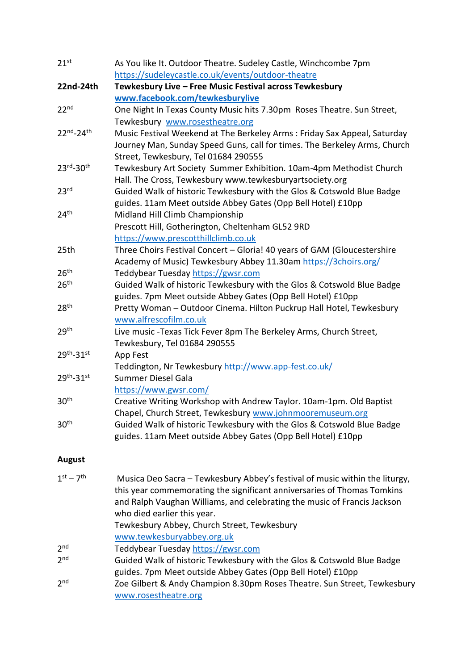| 21 <sup>st</sup>      | As You like It. Outdoor Theatre. Sudeley Castle, Winchcombe 7pm<br>https://sudeleycastle.co.uk/events/outdoor-theatre |
|-----------------------|-----------------------------------------------------------------------------------------------------------------------|
| 22nd-24th             | Tewkesbury Live - Free Music Festival across Tewkesbury                                                               |
|                       | www.facebook.com/tewkesburylive                                                                                       |
| 22 <sup>nd</sup>      | One Night In Texas County Music hits 7.30pm Roses Theatre. Sun Street,                                                |
|                       | Tewkesbury www.rosestheatre.org                                                                                       |
| 22nd-24th             | Music Festival Weekend at The Berkeley Arms: Friday Sax Appeal, Saturday                                              |
|                       | Journey Man, Sunday Speed Guns, call for times. The Berkeley Arms, Church                                             |
|                       | Street, Tewkesbury, Tel 01684 290555                                                                                  |
| 23rd-30th             | Tewkesbury Art Society Summer Exhibition. 10am-4pm Methodist Church                                                   |
|                       | Hall. The Cross, Tewkesbury www.tewkesburyartsociety.org                                                              |
| 23 <sup>rd</sup>      | Guided Walk of historic Tewkesbury with the Glos & Cotswold Blue Badge                                                |
|                       | guides. 11am Meet outside Abbey Gates (Opp Bell Hotel) £10pp                                                          |
| 24 <sup>th</sup>      | Midland Hill Climb Championship                                                                                       |
|                       | Prescott Hill, Gotherington, Cheltenham GL52 9RD                                                                      |
|                       | https://www.prescotthillclimb.co.uk                                                                                   |
| 25th                  | Three Choirs Festival Concert - Gloria! 40 years of GAM (Gloucestershire                                              |
|                       | Academy of Music) Tewkesbury Abbey 11.30am https://3choirs.org/                                                       |
| 26 <sup>th</sup>      | Teddybear Tuesday https://gwsr.com                                                                                    |
| 26 <sup>th</sup>      | Guided Walk of historic Tewkesbury with the Glos & Cotswold Blue Badge                                                |
|                       | guides. 7pm Meet outside Abbey Gates (Opp Bell Hotel) £10pp                                                           |
| 28 <sup>th</sup>      | Pretty Woman - Outdoor Cinema. Hilton Puckrup Hall Hotel, Tewkesbury                                                  |
|                       | www.alfrescofilm.co.uk                                                                                                |
| 29 <sup>th</sup>      | Live music -Texas Tick Fever 8pm The Berkeley Arms, Church Street,                                                    |
|                       | Tewkesbury, Tel 01684 290555                                                                                          |
| 29th-31st             | App Fest                                                                                                              |
|                       | Teddington, Nr Tewkesbury http://www.app-fest.co.uk/                                                                  |
| 29th <sub>-31st</sub> | <b>Summer Diesel Gala</b>                                                                                             |
|                       | https://www.gwsr.com/                                                                                                 |
| 30 <sup>th</sup>      | Creative Writing Workshop with Andrew Taylor. 10am-1pm. Old Baptist                                                   |
|                       | Chapel, Church Street, Tewkesbury www.johnmooremuseum.org                                                             |
| 30 <sup>th</sup>      | Guided Walk of historic Tewkesbury with the Glos & Cotswold Blue Badge                                                |
|                       | guides. 11am Meet outside Abbey Gates (Opp Bell Hotel) £10pp                                                          |

## **August**

| $1st - 7th$     | Musica Deo Sacra - Tewkesbury Abbey's festival of music within the liturgy,<br>this year commemorating the significant anniversaries of Thomas Tomkins |
|-----------------|--------------------------------------------------------------------------------------------------------------------------------------------------------|
|                 | and Ralph Vaughan Williams, and celebrating the music of Francis Jackson                                                                               |
|                 | who died earlier this year.                                                                                                                            |
|                 | Tewkesbury Abbey, Church Street, Tewkesbury                                                                                                            |
|                 | www.tewkesburyabbey.org.uk                                                                                                                             |
| 2 <sub>nd</sub> | Teddybear Tuesday https://gwsr.com                                                                                                                     |
| 2 <sub>nd</sub> | Guided Walk of historic Tewkesbury with the Glos & Cotswold Blue Badge                                                                                 |
|                 | guides. 7pm Meet outside Abbey Gates (Opp Bell Hotel) £10pp                                                                                            |
| 2 <sub>nd</sub> | Zoe Gilbert & Andy Champion 8.30pm Roses Theatre. Sun Street, Tewkesbury                                                                               |
|                 | www.rosestheatre.org                                                                                                                                   |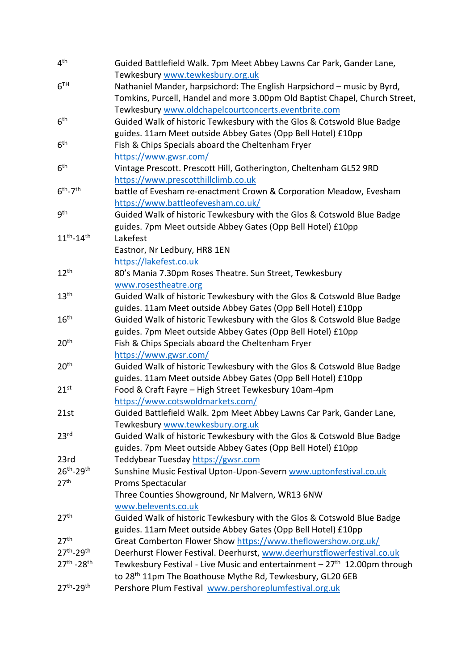| 4 <sup>th</sup>                    | Guided Battlefield Walk. 7pm Meet Abbey Lawns Car Park, Gander Lane,        |
|------------------------------------|-----------------------------------------------------------------------------|
|                                    | Tewkesbury www.tewkesbury.org.uk                                            |
| 6 <sup>TH</sup>                    | Nathaniel Mander, harpsichord: The English Harpsichord - music by Byrd,     |
|                                    | Tomkins, Purcell, Handel and more 3.00pm Old Baptist Chapel, Church Street, |
|                                    | Tewkesbury www.oldchapelcourtconcerts.eventbrite.com                        |
| 6 <sup>th</sup>                    | Guided Walk of historic Tewkesbury with the Glos & Cotswold Blue Badge      |
|                                    | guides. 11am Meet outside Abbey Gates (Opp Bell Hotel) £10pp                |
| 6 <sup>th</sup>                    | Fish & Chips Specials aboard the Cheltenham Fryer                           |
|                                    | https://www.gwsr.com/                                                       |
| 6 <sup>th</sup>                    | Vintage Prescott. Prescott Hill, Gotherington, Cheltenham GL52 9RD          |
|                                    | https://www.prescotthillclimb.co.uk                                         |
| $6th - 7th$                        | battle of Evesham re-enactment Crown & Corporation Meadow, Evesham          |
|                                    | https://www.battleofevesham.co.uk/                                          |
| <b>gth</b>                         | Guided Walk of historic Tewkesbury with the Glos & Cotswold Blue Badge      |
|                                    | guides. 7pm Meet outside Abbey Gates (Opp Bell Hotel) £10pp                 |
| $11^{th} - 14^{th}$                | Lakefest                                                                    |
|                                    | Eastnor, Nr Ledbury, HR8 1EN                                                |
|                                    | https://lakefest.co.uk                                                      |
| $12^{th}$                          | 80's Mania 7.30pm Roses Theatre. Sun Street, Tewkesbury                     |
|                                    | www.rosestheatre.org                                                        |
| 13 <sup>th</sup>                   | Guided Walk of historic Tewkesbury with the Glos & Cotswold Blue Badge      |
|                                    | guides. 11am Meet outside Abbey Gates (Opp Bell Hotel) £10pp                |
| 16 <sup>th</sup>                   | Guided Walk of historic Tewkesbury with the Glos & Cotswold Blue Badge      |
|                                    |                                                                             |
|                                    | guides. 7pm Meet outside Abbey Gates (Opp Bell Hotel) £10pp                 |
| 20 <sup>th</sup>                   | Fish & Chips Specials aboard the Cheltenham Fryer                           |
|                                    | https://www.gwsr.com/                                                       |
| 20 <sup>th</sup>                   | Guided Walk of historic Tewkesbury with the Glos & Cotswold Blue Badge      |
|                                    | guides. 11am Meet outside Abbey Gates (Opp Bell Hotel) £10pp                |
| $21^{st}$                          | Food & Craft Fayre - High Street Tewkesbury 10am-4pm                        |
|                                    | https://www.cotswoldmarkets.com/                                            |
| 21st                               | Guided Battlefield Walk. 2pm Meet Abbey Lawns Car Park, Gander Lane,        |
|                                    | Tewkesbury www.tewkesbury.org.uk                                            |
| 23 <sup>rd</sup>                   | Guided Walk of historic Tewkesbury with the Glos & Cotswold Blue Badge      |
|                                    | guides. 7pm Meet outside Abbey Gates (Opp Bell Hotel) £10pp                 |
| 23rd                               | Teddybear Tuesday https://gwsr.com                                          |
| 26th-29th                          | Sunshine Music Festival Upton-Upon-Severn www.uptonfestival.co.uk           |
| 27 <sup>th</sup>                   | Proms Spectacular                                                           |
|                                    | Three Counties Showground, Nr Malvern, WR13 6NW                             |
|                                    | www.belevents.co.uk                                                         |
| 27 <sup>th</sup>                   | Guided Walk of historic Tewkesbury with the Glos & Cotswold Blue Badge      |
|                                    | guides. 11am Meet outside Abbey Gates (Opp Bell Hotel) £10pp                |
| 27 <sup>th</sup>                   | Great Comberton Flower Show https://www.theflowershow.org.uk/               |
| 27 <sup>th</sup> -29 <sup>th</sup> | Deerhurst Flower Festival. Deerhurst, www.deerhurstflowerfestival.co.uk     |
| 27th - 28th                        | Tewkesbury Festival - Live Music and entertainment $-27th 12.00pm$ through  |
|                                    | to 28 <sup>th</sup> 11pm The Boathouse Mythe Rd, Tewkesbury, GL20 6EB       |
| 27th <sub>-29th</sub>              | Pershore Plum Festival www.pershoreplumfestival.org.uk                      |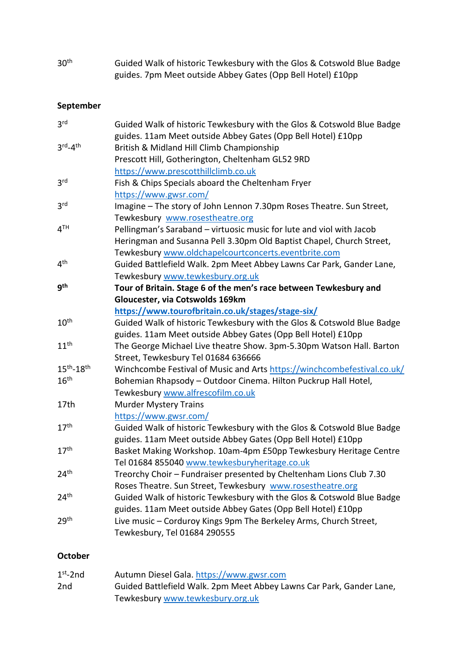| 30 <sup>th</sup> | Guided Walk of historic Tewkesbury with the Glos & Cotswold Blue Badge |
|------------------|------------------------------------------------------------------------|
|                  | guides. 7pm Meet outside Abbey Gates (Opp Bell Hotel) £10pp            |

# **September**

| 3 <sup>rd</sup>                 | Guided Walk of historic Tewkesbury with the Glos & Cotswold Blue Badge  |  |
|---------------------------------|-------------------------------------------------------------------------|--|
|                                 | guides. 11am Meet outside Abbey Gates (Opp Bell Hotel) £10pp            |  |
| $3^{\text{rd}} - 4^{\text{th}}$ | British & Midland Hill Climb Championship                               |  |
|                                 | Prescott Hill, Gotherington, Cheltenham GL52 9RD                        |  |
|                                 | https://www.prescotthillclimb.co.uk                                     |  |
| 3 <sup>rd</sup>                 | Fish & Chips Specials aboard the Cheltenham Fryer                       |  |
|                                 | https://www.gwsr.com/                                                   |  |
| 3 <sup>rd</sup>                 | Imagine - The story of John Lennon 7.30pm Roses Theatre. Sun Street,    |  |
|                                 | Tewkesbury www.rosestheatre.org                                         |  |
| 4 <sup>TH</sup>                 | Pellingman's Saraband - virtuosic music for lute and viol with Jacob    |  |
|                                 | Heringman and Susanna Pell 3.30pm Old Baptist Chapel, Church Street,    |  |
|                                 | Tewkesbury www.oldchapelcourtconcerts.eventbrite.com                    |  |
| 4 <sup>th</sup>                 | Guided Battlefield Walk. 2pm Meet Abbey Lawns Car Park, Gander Lane,    |  |
|                                 | Tewkesbury www.tewkesbury.org.uk                                        |  |
| <b>gth</b>                      | Tour of Britain. Stage 6 of the men's race between Tewkesbury and       |  |
|                                 | Gloucester, via Cotswolds 169km                                         |  |
|                                 | https://www.tourofbritain.co.uk/stages/stage-six/                       |  |
| 10 <sup>th</sup>                | Guided Walk of historic Tewkesbury with the Glos & Cotswold Blue Badge  |  |
|                                 | guides. 11am Meet outside Abbey Gates (Opp Bell Hotel) £10pp            |  |
| 11 <sup>th</sup>                | The George Michael Live theatre Show. 3pm-5.30pm Watson Hall. Barton    |  |
|                                 | Street, Tewkesbury Tel 01684 636666                                     |  |
| $15^{th} - 18^{th}$             | Winchcombe Festival of Music and Arts https://winchcombefestival.co.uk/ |  |
| 16 <sup>th</sup>                | Bohemian Rhapsody - Outdoor Cinema. Hilton Puckrup Hall Hotel,          |  |
|                                 | Tewkesbury www.alfrescofilm.co.uk                                       |  |
| 17 <sub>th</sub>                | <b>Murder Mystery Trains</b>                                            |  |
|                                 | https://www.gwsr.com/                                                   |  |
| 17 <sup>th</sup>                | Guided Walk of historic Tewkesbury with the Glos & Cotswold Blue Badge  |  |
|                                 | guides. 11am Meet outside Abbey Gates (Opp Bell Hotel) £10pp            |  |
| 17 <sup>th</sup>                | Basket Making Workshop. 10am-4pm £50pp Tewkesbury Heritage Centre       |  |
|                                 | Tel 01684 855040 www.tewkesburyheritage.co.uk                           |  |
| 24 <sup>th</sup>                | Treorchy Choir - Fundraiser presented by Cheltenham Lions Club 7.30     |  |
|                                 | Roses Theatre. Sun Street, Tewkesbury www.rosestheatre.org              |  |
| 24 <sup>th</sup>                | Guided Walk of historic Tewkesbury with the Glos & Cotswold Blue Badge  |  |
|                                 | guides. 11am Meet outside Abbey Gates (Opp Bell Hotel) £10pp            |  |
| 29 <sup>th</sup>                | Live music - Corduroy Kings 9pm The Berkeley Arms, Church Street,       |  |
|                                 | Tewkesbury, Tel 01684 290555                                            |  |
|                                 |                                                                         |  |

# **October**

| $1st$ -2nd | Autumn Diesel Gala. https://www.gwsr.com                             |  |
|------------|----------------------------------------------------------------------|--|
| 2nd        | Guided Battlefield Walk. 2pm Meet Abbey Lawns Car Park, Gander Lane, |  |
|            | Tewkesbury www.tewkesbury.org.uk                                     |  |